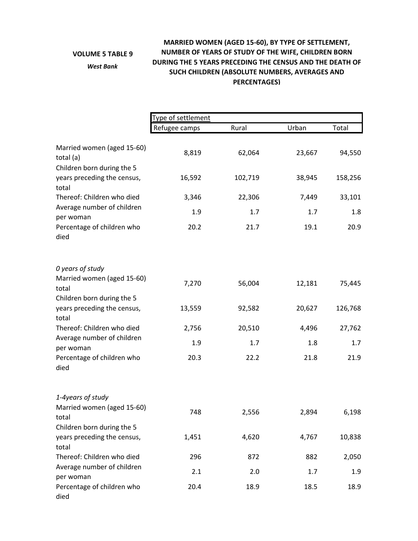## **VOLUME 5 TABLE 9**

*West Bank*

## **MARRIED WOMEN (AGED 15‐60), BY TYPE OF SETTLEMENT, NUMBER OF YEARS OF STUDY OF THE WIFE, CHILDREN BORN DURING THE 5 YEARS PRECEDING THE CENSUS AND THE DEATH OF SUCH CHILDREN (ABSOLUTE NUMBERS, AVERAGES AND PERCENTAGES)**

|                                                                    | Type of settlement |         |        |         |  |
|--------------------------------------------------------------------|--------------------|---------|--------|---------|--|
|                                                                    | Refugee camps      | Rural   | Urban  | Total   |  |
| Married women (aged 15-60)<br>total (a)                            | 8,819              | 62,064  | 23,667 | 94,550  |  |
| Children born during the 5<br>years preceding the census,<br>total | 16,592             | 102,719 | 38,945 | 158,256 |  |
| Thereof: Children who died                                         | 3,346              | 22,306  | 7,449  | 33,101  |  |
| Average number of children<br>per woman                            | 1.9                | 1.7     | 1.7    | 1.8     |  |
| Percentage of children who<br>died                                 | 20.2               | 21.7    | 19.1   | 20.9    |  |
| 0 years of study                                                   |                    |         |        |         |  |
| Married women (aged 15-60)<br>total<br>Children born during the 5  | 7,270              | 56,004  | 12,181 | 75,445  |  |
| years preceding the census,<br>total                               | 13,559             | 92,582  | 20,627 | 126,768 |  |
| Thereof: Children who died                                         | 2,756              | 20,510  | 4,496  | 27,762  |  |
| Average number of children<br>per woman                            | 1.9                | 1.7     | 1.8    | 1.7     |  |
| Percentage of children who<br>died                                 | 20.3               | 22.2    | 21.8   | 21.9    |  |
| 1-4years of study                                                  |                    |         |        |         |  |
| Married women (aged 15-60)<br>total                                | 748                | 2,556   | 2,894  | 6,198   |  |
| Children born during the 5                                         |                    |         |        |         |  |
| years preceding the census,<br>total                               | 1,451              | 4,620   | 4,767  | 10,838  |  |
| Thereof: Children who died                                         | 296                | 872     | 882    | 2,050   |  |
| Average number of children<br>per woman                            | 2.1                | 2.0     | 1.7    | 1.9     |  |
| Percentage of children who<br>died                                 | 20.4               | 18.9    | 18.5   | 18.9    |  |